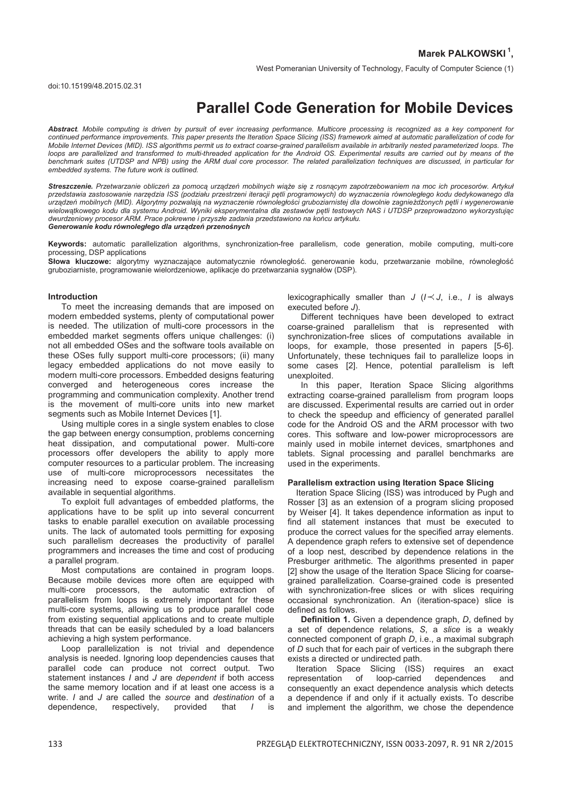West Pomeranian University of Technology, Faculty of Computer Science (1)

# **Parallel Code Generation for Mobile Devices**

*Abstract. Mobile computing is driven by pursuit of ever increasing performance. Multicore processing is recognized as a key component for*  continued performance improvements. This paper presents the Iteration Space Slicing (ISS) framework aimed at automatic parallelization of code for *Mobile Internet Devices (MID). ISS algorithms permit us to extract coarse-grained parallelism available in arbitrarily nested parameterized loops. The*  loops are parallelized and transformed to multi-threaded application for the Android OS. Experimental results are carried out by means of the benchmark suites (UTDSP and NPB) using the ARM dual core processor. The related parallelization techniques are discussed, in particular for *embedded systems. The future work is outlined.* 

Streszczenie. Przetwarzanie obliczeń za pomocą urządzeń mobilnych wiąże się z rosnącym zapotrzebowaniem na moc ich procesorów. Artyku *przedstawia zastosowanie narzĊdzia ISS (podziału przestrzeni iteracji pĊtli programowych) do wyznaczenia równoległego kodu dedykowanego dla*  urządzeń mobilnych (MID). Algorytmy pozwalają na wyznaczenie równoległości gruboziarnistej dla dowolnie zagnieżdzonych pętli i wygenerowanie *wielowątkowego kodu dla systemu Android. Wyniki eksperymentalna dla zestawów pĊtli testowych NAS i UTDSP przeprowadzono wykorzystując dwurdzeniowy procesor ARM. Prace pokrewne i przyszłe zadania przedstawiono na koĔcu artykułu. Generowanie kodu równoległego dla urządzeĔ przenoĞnych*

**Keywords:** automatic parallelization algorithms, synchronization-free parallelism, code generation, mobile computing, multi-core processing, DSP applications

Słowa kluczowe: algorytmy wyznaczające automatycznie równoległość. generowanie kodu, przetwarzanie mobilne, równoległość gruboziarniste, programowanie wielordzeniowe, aplikacje do przetwarzania sygnałów (DSP).

#### **Introduction**

To meet the increasing demands that are imposed on modern embedded systems, plenty of computational power is needed. The utilization of multi-core processors in the embedded market segments offers unique challenges: (i) not all embedded OSes and the software tools available on these OSes fully support multi-core processors; (ii) many legacy embedded applications do not move easily to modern multi-core processors. Embedded designs featuring converged and heterogeneous cores increase the programming and communication complexity. Another trend is the movement of multi-core units into new market segments such as Mobile Internet Devices [1].

Using multiple cores in a single system enables to close the gap between energy consumption, problems concerning heat dissipation, and computational power. Multi-core processors offer developers the ability to apply more computer resources to a particular problem. The increasing use of multi-core microprocessors necessitates the increasing need to expose coarse-grained parallelism available in sequential algorithms.

To exploit full advantages of embedded platforms, the applications have to be split up into several concurrent tasks to enable parallel execution on available processing units. The lack of automated tools permitting for exposing such parallelism decreases the productivity of parallel programmers and increases the time and cost of producing a parallel program.

Most computations are contained in program loops. Because mobile devices more often are equipped with multi-core processors, the automatic extraction of parallelism from loops is extremely important for these multi-core systems, allowing us to produce parallel code from existing sequential applications and to create multiple threads that can be easily scheduled by a load balancers achieving a high system performance.

Loop parallelization is not trivial and dependence analysis is needed. Ignoring loop dependencies causes that parallel code can produce not correct output. Two statement instances *I* and *J* are *dependent* if both access the same memory location and if at least one access is a write. *I* and *J* are called the *source* and *destination* of a dependence, respectively, provided that *I* is

lexicographically smaller than  $J$  ( $I \prec J$ , i.e., *I* is always executed before *J*).

Different techniques have been developed to extract coarse-grained parallelism that is represented with synchronization-free slices of computations available in loops, for example, those presented in papers [5-6]. Unfortunately, these techniques fail to parallelize loops in some cases [2]. Hence, potential parallelism is left unexploited.

In this paper, Iteration Space Slicing algorithms extracting coarse-grained parallelism from program loops are discussed. Experimental results are carried out in order to check the speedup and efficiency of generated parallel code for the Android OS and the ARM processor with two cores. This software and low-power microprocessors are mainly used in mobile internet devices, smartphones and tablets. Signal processing and parallel benchmarks are used in the experiments.

#### **Parallelism extraction using Iteration Space Slicing**

Iteration Space Slicing (ISS) was introduced by Pugh and Rosser [3] as an extension of a program slicing proposed by Weiser [4]. It takes dependence information as input to find all statement instances that must be executed to produce the correct values for the specified array elements. A dependence graph refers to extensive set of dependence of a loop nest, described by dependence relations in the Presburger arithmetic. The algorithms presented in paper [2] show the usage of the Iteration Space Slicing for coarsegrained parallelization. Coarse-grained code is presented with synchronization-free slices or with slices requiring occasional synchronization. An (iteration-space) slice is defined as follows.

**Definition 1.** Given a dependence graph, *D*, defined by a set of dependence relations, *S*, a *slice* is a weakly connected component of graph *D*, i.e., a maximal subgraph of *D* such that for each pair of vertices in the subgraph there exists a directed or undirected path.

Iteration Space Slicing (ISS) requires an exact representation of loop-carried dependences and consequently an exact dependence analysis which detects a dependence if and only if it actually exists. To describe and implement the algorithm, we chose the dependence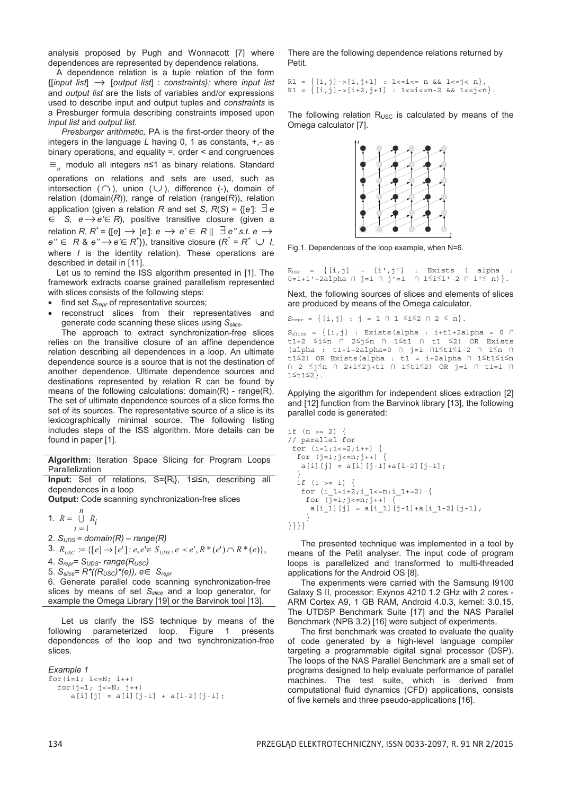analysis proposed by Pugh and Wonnacott [7] where dependences are represented by dependence relations.

A dependence relation is a tuple relation of the form {[*input list*] → [*output list*] : *constraints};* where *input list*  and *output list* are the lists of variables and/or expressions used to describe input and output tuples and *constraints* is a Presburger formula describing constraints imposed upon *input list* and *output list*.

*Presburger arithmetic,* PA is the first-order theory of the integers in the language *L* having 0, 1 as constants, +,- as binary operations, and equality =, order < and congruences ≡*n* modulo all integers n1 as binary relations. Standard operations on relations and sets are used, such as intersection ( $\cap$ ), union (∪), difference (-), domain of relation (domain( $R$ )), range of relation (range( $R$ )), relation application (given a relation *R* and set *S*,  $R(S) = \{ [e'] : \exists e$ 

∈ *S, e*→*e'*∈*R*), positive transitive closure (given a relation *R*,  $R^+$  = {[e]  $\rightarrow$  [e']:  $e \rightarrow e' \in R \parallel \exists e'' s.t. e \rightarrow$  $e'' \in R$  &  $e'' \rightarrow e' \in R^{\dagger}$ ), transitive closure  $(R^{\dagger} = R^{\dagger} \cup I,$ where *I* is the identity relation). These operations are described in detail in [11].

Let us to remind the ISS algorithm presented in [1]. The framework extracts coarse grained parallelism represented with slices consists of the following steps:

- find set *S<sub>repr</sub>* of representative sources;
- reconstruct slices from their representatives and generate code scanning these slices using *Sslice*.

 The approach to extract synchronization-free slices relies on the transitive closure of an affine dependence relation describing all dependences in a loop. An ultimate dependence source is a source that is not the destination of another dependence. Ultimate dependence sources and destinations represented by relation R can be found by means of the following calculations: domain(R) - range(R). The set of ultimate dependence sources of a slice forms the set of its sources. The representative source of a slice is its lexicographically minimal source. The following listing includes steps of the ISS algorithm. More details can be found in paper [1].

**Algorithm:** Iteration Space Slicing for Program Loops Parallelization

**Input:** Set of relations, S={R<sub>i</sub>}, 1sisn, describing all dependences in a loop

**Output:** Code scanning synchronization-free slices

1.  $R = \bigcup$ *n*  $i=1$  $R = \bigcup R_i$ 2. *SUDS = domain(R) – range(R)* 

3.  $R_{\text{USC}} := \{ [e] \rightarrow [e'] : e, e \in S_{\text{UDS}}, e \prec e', R^*(e') \cap R^*(e) \},$ 

4. *Srepr= SUDS- range(RUSC)* 

5. *Sslice= R\*((RUSC)\*(e)), e*∈ *Srepr* 

6. Generate parallel code scanning synchronization-free slices by means of set *Sslice* and a loop generator, for example the Omega Library [19] or the Barvinok tool [13].

Let us clarify the ISS technique by means of the following parameterized loop. Figure 1 presents dependences of the loop and two synchronization-free slices.

```
Example 1
for(i=1; i<=N; i++)for(j=1; j<=N; j++)a[i][j] = a[i][j-1] + a[i-2][j-1];
```
There are the following dependence relations returned by Petit.

 $R1 = \{ [i, j] -\rangle [i, j+1] : 1 < i < n \& 1 < j < n \},$ R1 =  $\{[i,j]\rightarrow[i+2,j+1] : 1\le i\le n-2 \&1\le i\le n\}.$ 

The following relation  $R_{USC}$  is calculated by means of the Omega calculator [7].



Fig.1. Dependences of the loop example, when N=6.

 $R_{\text{USC}} = \{ [i,j] \rightarrow [i',j'] \ : \text{Exists} \ ( \text{ alpha} :$  $0=i+i'+2a1pha \cap j=1 \cap j'=1 \cap 1\leq i\leq i'-2 \cap i'\leq n)$ .

Next, the following sources of slices and elements of slices are produced by means of the Omega calculator.

 $S_{\text{repr}} = \{ [i, j] : j = 1 \cap 1 \le i \le 2 \cap 2 \le n \}.$ 

 $S_{\text{slice}} = \{ [i, j] :$  Exists(alpha : i+t1+2alpha = 0  $\cap$ t1+2  $\leq i \leq n$   $\cap$  2 $\leq j \leq n$   $\cap$  1 $\leq$ t1  $\cap$  t1  $\leq$ 2) OR Exists (alpha : t1+i+2alpha=0  $\cap$  j=1  $\cap$ 1 i1t1  $\subseteq$   $\cap$  i in  $\cap$ t1<sup>2</sup>) OR Exists(alpha : t1 = i+2alpha  $\cap$  1<sup>2</sup>t1<sup>2</sup>i<sup>2</sup>n  $\bigcap$  2  $\leq j \leq n$   $\bigcap$  2+i $\leq 2j$ +t1  $\bigcap$  1 $\leq$ t1 $\leq 2$ ) OR  $j=1$   $\bigcap$  t1=i  $\bigcap$  $1 \leq t1 \leq 2$ .

Applying the algorithm for independent slices extraction [2] and [12] function from the Barvinok library [13], the following parallel code is generated:

```
if (n > = 2) {
// parallel for 
 for (i=1; i<=2; i++) {
  for (j=1; j<=n; j++) {
   a[i][j] = a[i][j-1]+a[i-2][j-1]; } 
  \overline{\text{if}} (i >= 1) {
   for (i_1=i+2;i_1=i)=n; i_1+i=2) {
    for (\overline{j}=1; j<=n; j++)a[i 1][j] = a[i 1][j-1]+a[i 1-2][j-1];
      } 
}}}}
```
 The presented technique was implemented in a tool by means of the Petit analyser. The input code of program loops is parallelized and transformed to multi-threaded applications for the Android OS [8].

 The experiments were carried with the Samsung I9100 Galaxy S II, processor: Exynos 4210 1.2 GHz with 2 cores - ARM Cortex A9, 1 GB RAM, Android 4.0.3, kernel: 3.0.15. The UTDSP Benchmark Suite [17] and the NAS Parallel Benchmark (NPB 3.2) [16] were subject of experiments.

 The first benchmark was created to evaluate the quality of code generated by a high-level language compiler targeting a programmable digital signal processor (DSP). The loops of the NAS Parallel Benchmark are a small set of programs designed to help evaluate performance of parallel machines. The test suite, which is derived from computational fluid dynamics (CFD) applications, consists of five kernels and three pseudo-applications [16].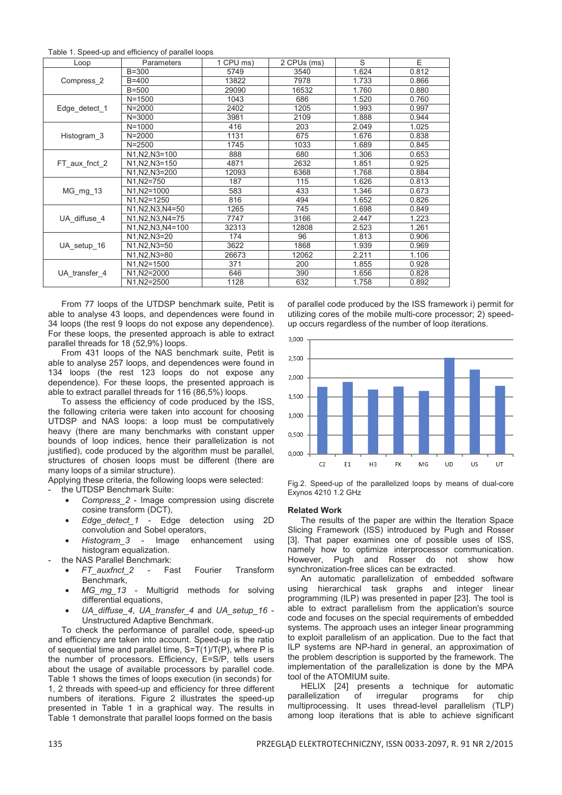Table 1. Speed-up and efficiency of parallel loops

| Loop          | Parameters         | 1 CPU ms) | 2 CPUs (ms) | S     | E     |
|---------------|--------------------|-----------|-------------|-------|-------|
| Compress 2    | $B = 300$          | 5749      | 3540        | 1.624 | 0.812 |
|               | $B = 400$          | 13822     | 7978        | 1.733 | 0.866 |
|               | $B=500$            | 29090     | 16532       | 1.760 | 0.880 |
| Edge detect 1 | $N = 1500$         | 1043      | 686         | 1.520 | 0.760 |
|               | $N = 2000$         | 2402      | 1205        | 1.993 | 0.997 |
|               | $N = 3000$         | 3981      | 2109        | 1.888 | 0.944 |
| Histogram 3   | $N = 1000$         | 416       | 203         | 2.049 | 1.025 |
|               | $N = 2000$         | 1131      | 675         | 1.676 | 0.838 |
|               | $N = 2500$         | 1745      | 1033        | 1.689 | 0.845 |
| FT_aux_fnct_2 | N1, N2, N3=100     | 888       | 680         | 1.306 | 0.653 |
|               | N1, N2, N3=150     | 4871      | 2632        | 1.851 | 0.925 |
|               | N1, N2, N3=200     | 12093     | 6368        | 1.768 | 0.884 |
| MG mg 13      | N1, N2=750         | 187       | 115         | 1.626 | 0.813 |
|               | N1, N2=1000        | 583       | 433         | 1.346 | 0.673 |
|               | N1, N2=1250        | 816       | 494         | 1.652 | 0.826 |
| UA diffuse 4  | N1, N2, N3, N4=50  | 1265      | 745         | 1.698 | 0.849 |
|               | N1, N2, N3, N4=75  | 7747      | 3166        | 2.447 | 1.223 |
|               | N1, N2, N3, N4=100 | 32313     | 12808       | 2.523 | 1.261 |
| UA setup 16   | N1, N2, N3=20      | 174       | 96          | 1.813 | 0.906 |
|               | N1, N2, N3=50      | 3622      | 1868        | 1.939 | 0.969 |
|               | N1, N2, N3=80      | 26673     | 12062       | 2.211 | 1.106 |
| UA transfer 4 | N1, N2=1500        | 371       | 200         | 1.855 | 0.928 |
|               | N1, N2=2000        | 646       | 390         | 1.656 | 0.828 |
|               | N1, N2=2500        | 1128      | 632         | 1.758 | 0.892 |

 From 77 loops of the UTDSP benchmark suite, Petit is able to analyse 43 loops, and dependences were found in 34 loops (the rest 9 loops do not expose any dependence). For these loops, the presented approach is able to extract parallel threads for 18 (52,9%) loops.

 From 431 loops of the NAS benchmark suite, Petit is able to analyse 257 loops, and dependences were found in 134 loops (the rest 123 loops do not expose any dependence). For these loops, the presented approach is able to extract parallel threads for 116 (86,5%) loops.

 To assess the efficiency of code produced by the ISS, the following criteria were taken into account for choosing UTDSP and NAS loops: a loop must be computatively heavy (there are many benchmarks with constant upper bounds of loop indices, hence their parallelization is not iustified), code produced by the algorithm must be parallel, structures of chosen loops must be different (there are many loops of a similar structure).

Applying these criteria, the following loops were selected:

the UTDSP Benchmark Suite:

- *Compress\_2* Image compression using discrete cosine transform (DCT),
- *Edge\_detect\_1* Edge detection using 2D convolution and Sobel operators,
- *Histogram\_3* Image enhancement using histogram equalization.
- the NAS Parallel Benchmark:
	- *FT\_auxfnct\_2* Fast Fourier Transform Benchmark,
	- *MG\_mg\_13* Multigrid methods for solving differential equations,
	- *UA\_diffuse\_4*, *UA\_transfer\_4* and *UA\_setup\_16* Unstructured Adaptive Benchmark.

 To check the performance of parallel code, speed-up and efficiency are taken into account. Speed-up is the ratio of sequential time and parallel time, S=T(1)/T(P), where P is the number of processors. Efficiency, E=S/P, tells users about the usage of available processors by parallel code. Table 1 shows the times of loops execution (in seconds) for 1, 2 threads with speed-up and efficiency for three different numbers of iterations. Figure 2 illustrates the speed-up presented in Table 1 in a graphical way. The results in Table 1 demonstrate that parallel loops formed on the basis

of parallel code produced by the ISS framework i) permit for utilizing cores of the mobile multi-core processor; 2) speedup occurs regardless of the number of loop iterations.



Fig.2. Speed-up of the parallelized loops by means of dual-core Exynos 4210 1.2 GHz

### **Related Work**

 The results of the paper are within the Iteration Space Slicing Framework (ISS) introduced by Pugh and Rosser [3]. That paper examines one of possible uses of ISS, namely how to optimize interprocessor communication. However, Pugh and Rosser do not show how synchronization-free slices can be extracted.

 An automatic parallelization of embedded software using hierarchical task graphs and integer linear programming (ILP) was presented in paper [23]. The tool is able to extract parallelism from the application's source code and focuses on the special requirements of embedded systems. The approach uses an integer linear programming to exploit parallelism of an application. Due to the fact that ILP systems are NP-hard in general, an approximation of the problem description is supported by the framework. The implementation of the parallelization is done by the MPA tool of the ATOMIUM suite.

 HELIX [24] presents a technique for automatic parallelization of irregular programs for chip multiprocessing. It uses thread-level parallelism (TLP) among loop iterations that is able to achieve significant